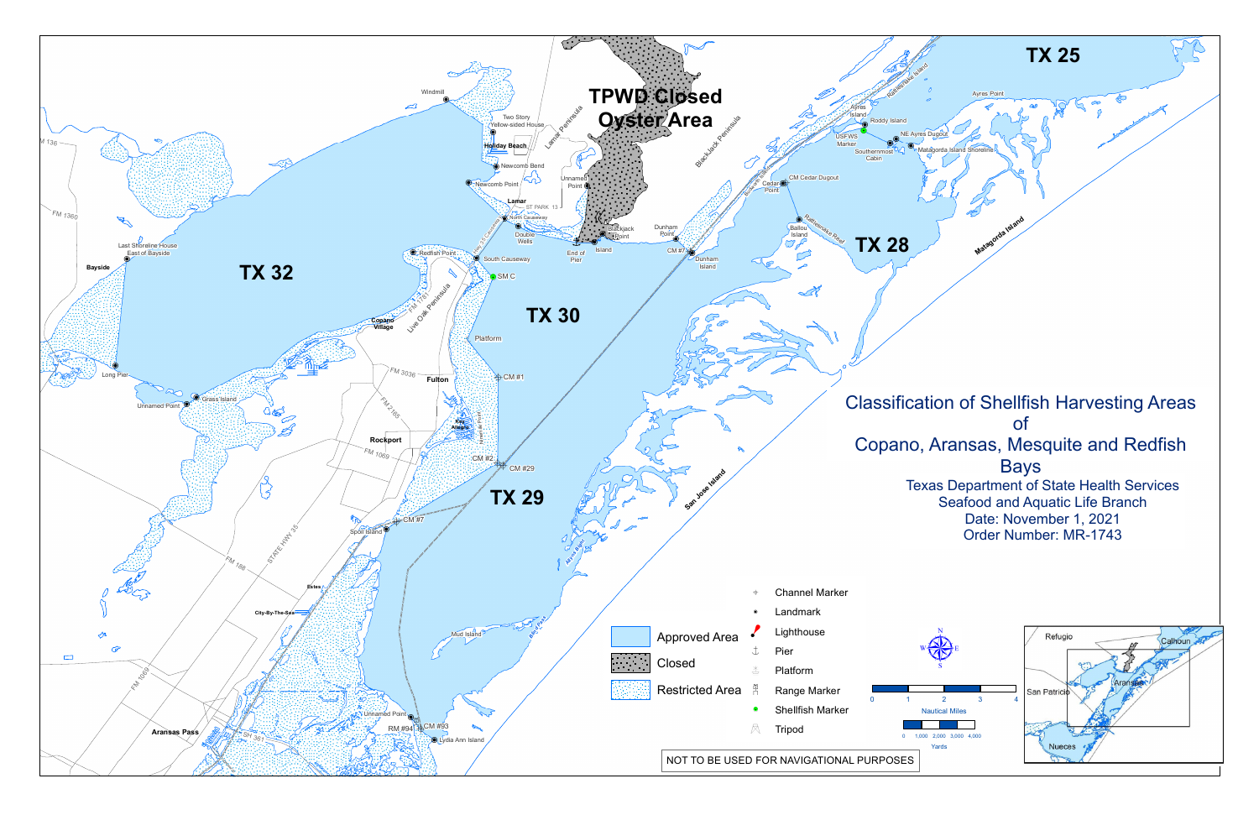